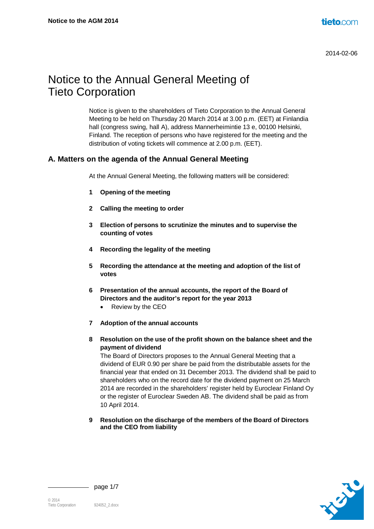# Notice to the Annual General Meeting of Tieto Corporation

Notice is given to the shareholders of Tieto Corporation to the Annual General Meeting to be held on Thursday 20 March 2014 at 3.00 p.m. (EET) at Finlandia hall (congress swing, hall A), address Mannerheimintie 13 e, 00100 Helsinki, Finland. The reception of persons who have registered for the meeting and the distribution of voting tickets will commence at 2.00 p.m. (EET).

# **A. Matters on the agenda of the Annual General Meeting**

At the Annual General Meeting, the following matters will be considered:

- **1 Opening of the meeting**
- **2 Calling the meeting to order**
- **3 Election of persons to scrutinize the minutes and to supervise the counting of votes**
- **4 Recording the legality of the meeting**
- **5 Recording the attendance at the meeting and adoption of the list of votes**
- **6 Presentation of the annual accounts, the report of the Board of Directors and the auditor's report for the year 2013**
	- Review by the CEO
- **7 Adoption of the annual accounts**
- **8 Resolution on the use of the profit shown on the balance sheet and the payment of dividend**

The Board of Directors proposes to the Annual General Meeting that a dividend of EUR 0.90 per share be paid from the distributable assets for the financial year that ended on 31 December 2013. The dividend shall be paid to shareholders who on the record date for the dividend payment on 25 March 2014 are recorded in the shareholders' register held by Euroclear Finland Oy or the register of Euroclear Sweden AB. The dividend shall be paid as from 10 April 2014.

**9 Resolution on the discharge of the members of the Board of Directors and the CEO from liability**



page 1/7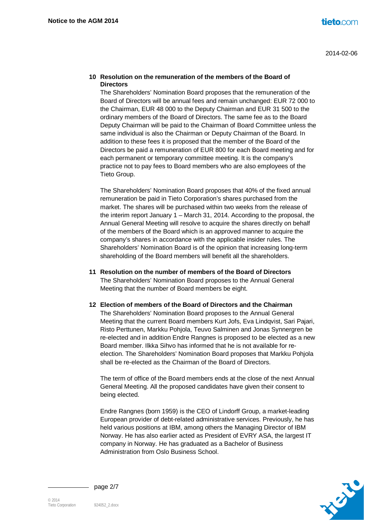#### **10 Resolution on the remuneration of the members of the Board of Directors**

The Shareholders' Nomination Board proposes that the remuneration of the Board of Directors will be annual fees and remain unchanged: EUR 72 000 to the Chairman, EUR 48 000 to the Deputy Chairman and EUR 31 500 to the ordinary members of the Board of Directors. The same fee as to the Board Deputy Chairman will be paid to the Chairman of Board Committee unless the same individual is also the Chairman or Deputy Chairman of the Board. In addition to these fees it is proposed that the member of the Board of the Directors be paid a remuneration of EUR 800 for each Board meeting and for each permanent or temporary committee meeting. It is the company's practice not to pay fees to Board members who are also employees of the Tieto Group.

The Shareholders' Nomination Board proposes that 40% of the fixed annual remuneration be paid in Tieto Corporation's shares purchased from the market. The shares will be purchased within two weeks from the release of the interim report January 1 – March 31, 2014. According to the proposal, the Annual General Meeting will resolve to acquire the shares directly on behalf of the members of the Board which is an approved manner to acquire the company's shares in accordance with the applicable insider rules. The Shareholders' Nomination Board is of the opinion that increasing long-term shareholding of the Board members will benefit all the shareholders.

**11 Resolution on the number of members of the Board of Directors** The Shareholders' Nomination Board proposes to the Annual General Meeting that the number of Board members be eight.

#### **12 Election of members of the Board of Directors and the Chairman**

The Shareholders' Nomination Board proposes to the Annual General Meeting that the current Board members Kurt Jofs, Eva Lindqvist, Sari Pajari, Risto Perttunen, Markku Pohjola, Teuvo Salminen and Jonas Synnergren be re-elected and in addition Endre Rangnes is proposed to be elected as a new Board member. Ilkka Sihvo has informed that he is not available for reelection. The Shareholders' Nomination Board proposes that Markku Pohjola shall be re-elected as the Chairman of the Board of Directors.

The term of office of the Board members ends at the close of the next Annual General Meeting. All the proposed candidates have given their consent to being elected.

Endre Rangnes (born 1959) is the CEO of Lindorff Group, a market-leading European provider of debt-related administrative services. Previously, he has held various positions at IBM, among others the Managing Director of IBM Norway. He has also earlier acted as President of EVRY ASA, the largest IT company in Norway. He has graduated as a Bachelor of Business Administration from Oslo Business School.



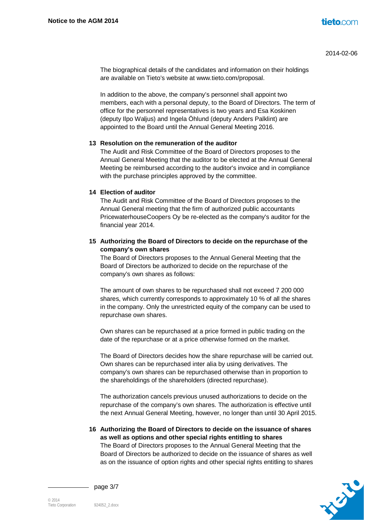The biographical details of the candidates and information on their holdings are available on Tieto's website at www.tieto.com/proposal.

In addition to the above, the company's personnel shall appoint two members, each with a personal deputy, to the Board of Directors. The term of office for the personnel representatives is two years and Esa Koskinen (deputy Ilpo Waljus) and Ingela Öhlund (deputy Anders Palklint) are appointed to the Board until the Annual General Meeting 2016.

#### **13 Resolution on the remuneration of the auditor**

The Audit and Risk Committee of the Board of Directors proposes to the Annual General Meeting that the auditor to be elected at the Annual General Meeting be reimbursed according to the auditor's invoice and in compliance with the purchase principles approved by the committee.

#### **14 Election of auditor**

The Audit and Risk Committee of the Board of Directors proposes to the Annual General meeting that the firm of authorized public accountants PricewaterhouseCoopers Oy be re-elected as the company's auditor for the financial year 2014.

### **15 Authorizing the Board of Directors to decide on the repurchase of the company's own shares**

The Board of Directors proposes to the Annual General Meeting that the Board of Directors be authorized to decide on the repurchase of the company's own shares as follows:

The amount of own shares to be repurchased shall not exceed 7 200 000 shares, which currently corresponds to approximately 10 % of all the shares in the company. Only the unrestricted equity of the company can be used to repurchase own shares.

Own shares can be repurchased at a price formed in public trading on the date of the repurchase or at a price otherwise formed on the market.

The Board of Directors decides how the share repurchase will be carried out. Own shares can be repurchased inter alia by using derivatives. The company's own shares can be repurchased otherwise than in proportion to the shareholdings of the shareholders (directed repurchase).

The authorization cancels previous unused authorizations to decide on the repurchase of the company's own shares. The authorization is effective until the next Annual General Meeting, however, no longer than until 30 April 2015.

**16 Authorizing the Board of Directors to decide on the issuance of shares as well as options and other special rights entitling to shares** The Board of Directors proposes to the Annual General Meeting that the Board of Directors be authorized to decide on the issuance of shares as well as on the issuance of option rights and other special rights entitling to shares

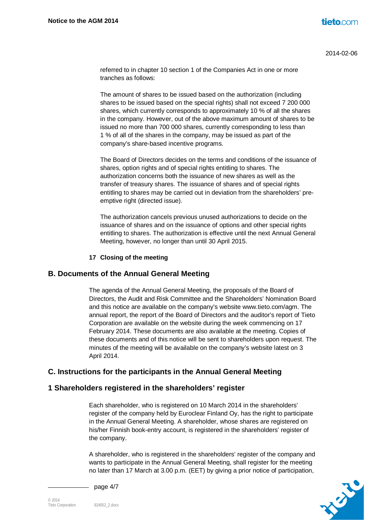referred to in chapter 10 section 1 of the Companies Act in one or more tranches as follows:

The amount of shares to be issued based on the authorization (including shares to be issued based on the special rights) shall not exceed 7 200 000 shares, which currently corresponds to approximately 10 % of all the shares in the company. However, out of the above maximum amount of shares to be issued no more than 700 000 shares, currently corresponding to less than 1 % of all of the shares in the company, may be issued as part of the company's share-based incentive programs.

The Board of Directors decides on the terms and conditions of the issuance of shares, option rights and of special rights entitling to shares. The authorization concerns both the issuance of new shares as well as the transfer of treasury shares. The issuance of shares and of special rights entitling to shares may be carried out in deviation from the shareholders' preemptive right (directed issue).

The authorization cancels previous unused authorizations to decide on the issuance of shares and on the issuance of options and other special rights entitling to shares. The authorization is effective until the next Annual General Meeting, however, no longer than until 30 April 2015.

#### **17 Closing of the meeting**

## **B. Documents of the Annual General Meeting**

The agenda of the Annual General Meeting, the proposals of the Board of Directors, the Audit and Risk Committee and the Shareholders' Nomination Board and this notice are available on the company's website www.tieto.com/agm. The annual report, the report of the Board of Directors and the auditor's report of Tieto Corporation are available on the website during the week commencing on 17 February 2014. These documents are also available at the meeting. Copies of these documents and of this notice will be sent to shareholders upon request. The minutes of the meeting will be available on the company's website latest on 3 April 2014.

# **C. Instructions for the participants in the Annual General Meeting**

## **1 Shareholders registered in the shareholders' register**

Each shareholder, who is registered on 10 March 2014 in the shareholders' register of the company held by Euroclear Finland Oy, has the right to participate in the Annual General Meeting. A shareholder, whose shares are registered on his/her Finnish book-entry account, is registered in the shareholders' register of the company.

A shareholder, who is registered in the shareholders' register of the company and wants to participate in the Annual General Meeting, shall register for the meeting no later than 17 March at 3.00 p.m. (EET) by giving a prior notice of participation,



page 4/7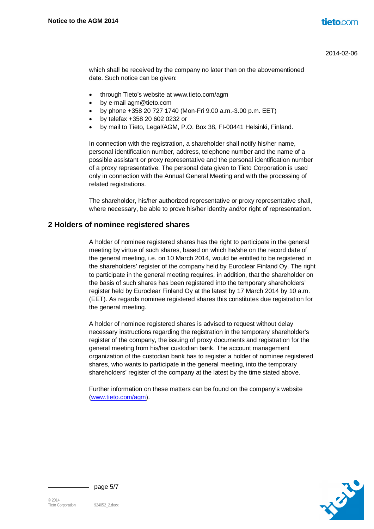which shall be received by the company no later than on the abovementioned date. Such notice can be given:

- x through Tieto's website at www.tieto.com/agm
- by e-mail agm@tieto.com
- x by phone +358 20 727 1740 (Mon-Fri 9.00 a.m.-3.00 p.m. EET)
- x by telefax +358 20 602 0232 or
- by mail to Tieto, Legal/AGM, P.O. Box 38, FI-00441 Helsinki, Finland.

In connection with the registration, a shareholder shall notify his/her name, personal identification number, address, telephone number and the name of a possible assistant or proxy representative and the personal identification number of a proxy representative. The personal data given to Tieto Corporation is used only in connection with the Annual General Meeting and with the processing of related registrations.

The shareholder, his/her authorized representative or proxy representative shall, where necessary, be able to prove his/her identity and/or right of representation.

## **2 Holders of nominee registered shares**

A holder of nominee registered shares has the right to participate in the general meeting by virtue of such shares, based on which he/she on the record date of the general meeting, i.e. on 10 March 2014, would be entitled to be registered in the shareholders' register of the company held by Euroclear Finland Oy. The right to participate in the general meeting requires, in addition, that the shareholder on the basis of such shares has been registered into the temporary shareholders' register held by Euroclear Finland Oy at the latest by 17 March 2014 by 10 a.m. (EET). As regards nominee registered shares this constitutes due registration for the general meeting.

A holder of nominee registered shares is advised to request without delay necessary instructions regarding the registration in the temporary shareholder's register of the company, the issuing of proxy documents and registration for the general meeting from his/her custodian bank. The account management organization of the custodian bank has to register a holder of nominee registered shares, who wants to participate in the general meeting, into the temporary shareholders' register of the company at the latest by the time stated above.

Further information on these matters can be found on the company's website [\(www.tieto.com/agm](http://www.tieto.com/agm)).



page 5/7

 $© 2014$ Tieto Corporation 924052 2.docx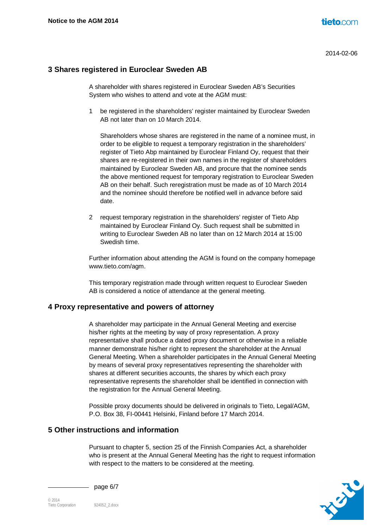# **3 Shares registered in Euroclear Sweden AB**

A shareholder with shares registered in Euroclear Sweden AB's Securities System who wishes to attend and vote at the AGM must:

1 be registered in the shareholders' register maintained by Euroclear Sweden AB not later than on 10 March 2014.

Shareholders whose shares are registered in the name of a nominee must, in order to be eligible to request a temporary registration in the shareholders' register of Tieto Abp maintained by Euroclear Finland Oy, request that their shares are re-registered in their own names in the register of shareholders maintained by Euroclear Sweden AB, and procure that the nominee sends the above mentioned request for temporary registration to Euroclear Sweden AB on their behalf. Such reregistration must be made as of 10 March 2014 and the nominee should therefore be notified well in advance before said date.

2 request temporary registration in the shareholders' register of Tieto Abp maintained by Euroclear Finland Oy. Such request shall be submitted in writing to Euroclear Sweden AB no later than on 12 March 2014 at 15:00 Swedish time.

Further information about attending the AGM is found on the company homepage www.tieto.com/agm.

This temporary registration made through written request to Euroclear Sweden AB is considered a notice of attendance at the general meeting.

## **4 Proxy representative and powers of attorney**

A shareholder may participate in the Annual General Meeting and exercise his/her rights at the meeting by way of proxy representation. A proxy representative shall produce a dated proxy document or otherwise in a reliable manner demonstrate his/her right to represent the shareholder at the Annual General Meeting. When a shareholder participates in the Annual General Meeting by means of several proxy representatives representing the shareholder with shares at different securities accounts, the shares by which each proxy representative represents the shareholder shall be identified in connection with the registration for the Annual General Meeting.

Possible proxy documents should be delivered in originals to Tieto, Legal/AGM, P.O. Box 38, FI-00441 Helsinki, Finland before 17 March 2014.

# **5 Other instructions and information**

Pursuant to chapter 5, section 25 of the Finnish Companies Act, a shareholder who is present at the Annual General Meeting has the right to request information with respect to the matters to be considered at the meeting.



page  $6/7$ 

 $© 2014$ Tieto Corporation 924052 2.docx